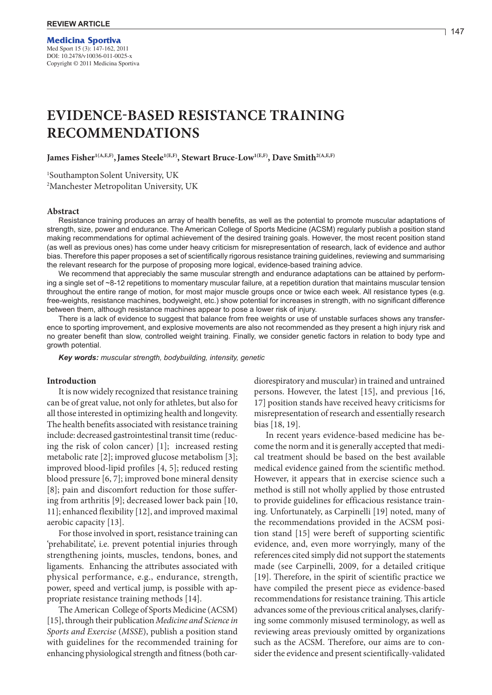# **EVIDENCE-BASED RESISTANCE TRAINING RECOMMENDATIONS**

James Fisher<sup>1(A,E,F)</sup>, James Steele<sup>1(E,F)</sup>, Stewart Bruce-Low<sup>1(E,F)</sup>, Dave Smith<sup>2(A,E,F)</sup>

<sup>1</sup>Southampton Solent University, UK 2 Manchester Metropolitan University, UK

# **Abstract**

Resistance training produces an array of health benefits, as well as the potential to promote muscular adaptations of strength, size, power and endurance. The American College of Sports Medicine (ACSM) regularly publish a position stand making recommendations for optimal achievement of the desired training goals. However, the most recent position stand (as well as previous ones) has come under heavy criticism for misrepresentation of research, lack of evidence and author bias. Therefore this paper proposes a set of scientifically rigorous resistance training guidelines, reviewing and summarising the relevant research for the purpose of proposing more logical, evidence-based training advice.

We recommend that appreciably the same muscular strength and endurance adaptations can be attained by performing a single set of ~8-12 repetitions to momentary muscular failure, at a repetition duration that maintains muscular tension throughout the entire range of motion, for most major muscle groups once or twice each week. All resistance types (e.g. free-weights, resistance machines, bodyweight, etc.) show potential for increases in strength, with no significant difference between them, although resistance machines appear to pose a lower risk of injury.

There is a lack of evidence to suggest that balance from free weights or use of unstable surfaces shows any transference to sporting improvement, and explosive movements are also not recommended as they present a high injury risk and no greater benefit than slow, controlled weight training. Finally, we consider genetic factors in relation to body type and growth potential.

*Key words: muscular strength, bodybuilding, intensity, genetic*

# **Introduction**

It is now widely recognized that resistance training can be of great value, not only for athletes, but also for all those interested in optimizing health and longevity. The health benefits associated with resistance training include: decreased gastrointestinal transit time (reducing the risk of colon cancer) [1]; increased resting metabolic rate [2]; improved glucose metabolism [3]; improved blood-lipid profiles [4, 5]; reduced resting blood pressure [6, 7]; improved bone mineral density [8]; pain and discomfort reduction for those suffering from arthritis [9]; decreased lower back pain [10, 11]; enhanced flexibility [12], and improved maximal aerobic capacity [13].

For those involved in sport, resistance training can 'prehabilitate', i.e. prevent potential injuries through strengthening joints, muscles, tendons, bones, and ligaments. Enhancing the attributes associated with physical performance, e.g., endurance, strength, power, speed and vertical jump, is possible with appropriate resistance training methods [14].

The American College of Sports Medicine (ACSM) [15], through their publication *Medicine and Science in Sports and Exercise* (*MSSE*), publish a position stand with guidelines for the recommended training for enhancing physiological strength and fitness (both cardiorespiratory and muscular) in trained and untrained persons. However, the latest [15], and previous [16, 17] position stands have received heavy criticisms for misrepresentation of research and essentially research bias [18, 19].

In recent years evidence-based medicine has become the norm and it is generally accepted that medical treatment should be based on the best available medical evidence gained from the scientific method. However, it appears that in exercise science such a method is still not wholly applied by those entrusted to provide guidelines for efficacious resistance training. Unfortunately, as Carpinelli [19] noted, many of the recommendations provided in the ACSM position stand [15] were bereft of supporting scientific evidence, and, even more worryingly, many of the references cited simply did not support the statements made (see Carpinelli, 2009, for a detailed critique [19]. Therefore, in the spirit of scientific practice we have compiled the present piece as evidence-based recommendations for resistance training. This article advances some of the previous critical analyses, clarifying some commonly misused terminology, as well as reviewing areas previously omitted by organizations such as the ACSM. Therefore, our aims are to consider the evidence and present scientifically-validated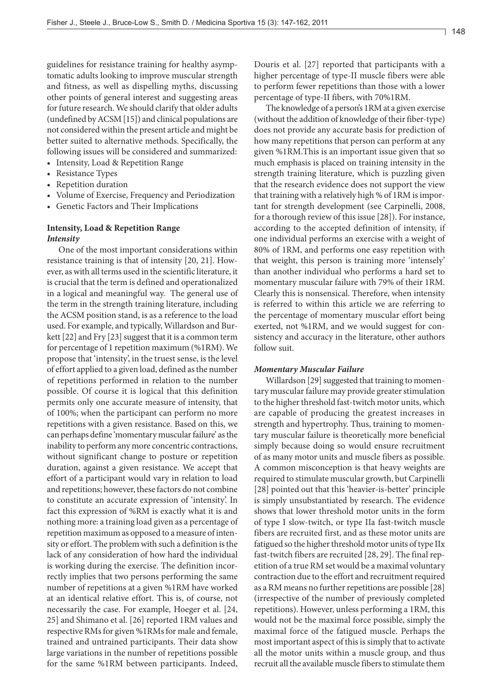guidelines for resistance training for healthy asymptomatic adults looking to improve muscular strength and fitness, as well as dispelling myths, discussing other points of general interest and suggesting areas for future research. We should clarify that older adults (undefined by ACSM [15]) and clinical populations are not considered within the present article and might be better suited to alternative methods. Specifically, the following issues will be considered and summarized:

- Intensity, Load & Repetition Range
- Resistance Types
- Repetition duration
- Volume of Exercise, Frequency and Periodization
- • Genetic Factors and Their Implications

# **Intensity, Load & Repetition Range** *Intensity*

One of the most important considerations within resistance training is that of intensity [20, 21]. However, as with all terms used in the scientific literature, it is crucial that the term is defined and operationalized in a logical and meaningful way. The general use of the term in the strength training literature, including the ACSM position stand, is as a reference to the load used. For example, and typically, Willardson and Burkett [22] and Fry [23] suggest that it is a common term for percentage of 1 repetition maximum (%1RM). We propose that 'intensity', in the truest sense, is the level of effort applied to a given load, defined as the number of repetitions performed in relation to the number possible. Of course it is logical that this definition permits only one accurate measure of intensity, that of 100%; when the participant can perform no more repetitions with a given resistance. Based on this, we can perhaps define 'momentary muscular failure' as the inability to perform any more concentric contractions, without significant change to posture or repetition duration, against a given resistance. We accept that effort of a participant would vary in relation to load and repetitions; however, these factors do not combine to constitute an accurate expression of 'intensity'. In fact this expression of %RM is exactly what it is and nothing more: a training load given as a percentage of repetition maximum as opposed to a measure of intensity or effort. The problem with such a definition is the lack of any consideration of how hard the individual is working during the exercise. The definition incorrectly implies that two persons performing the same number of repetitions at a given %1RM have worked at an identical relative effort. This is, of course, not necessarily the case. For example, Hoeger et al. [24, 25] and Shimano et al. [26] reported 1RM values and respective RMs for given %1RMs for male and female, trained and untrained participants. Their data show large variations in the number of repetitions possible for the same %1RM between participants. Indeed,

Douris et al. [27] reported that participants with a higher percentage of type-II muscle fibers were able to perform fewer repetitions than those with a lower percentage of type-II fibers, with 70%1RM.

The knowledge of a person's 1RM at a given exercise (without the addition of knowledge of their fiber-type) does not provide any accurate basis for prediction of how many repetitions that person can perform at any given %1RM.This is an important issue given that so much emphasis is placed on training intensity in the strength training literature, which is puzzling given that the research evidence does not support the view that trainingwith a relatively high % of 1RM isimportant for strength development (see Carpinelli, 2008, for a thorough review of this issue [28]). For instance, according to the accepted definition of intensity, if one individual performs an exercise with a weight of 80% of 1RM, and performs one easy repetition with that weight, this person is training more 'intensely' than another individual who performs a hard set to momentary muscular failure with 79% of their 1RM. Clearly this is nonsensical. Therefore, when intensity is referred to within this article we are referring to the percentage of momentary muscular effort being exerted, not %1RM, and we would suggest for consistency and accuracy in the literature, other authors follow suit.

# *Momentary Muscular Failure*

Willardson [29] suggested that training to momentary muscular failure may provide greater stimulation to the higher threshold fast-twitch motor units, which are capable of producing the greatest increases in strength and hypertrophy. Thus, training to momentary muscular failure is theoretically more beneficial simply because doing so would ensure recruitment of as many motor units and muscle fibers as possible. A common misconception is that heavy weights are required to stimulate muscular growth, but Carpinelli [28] pointed out that this 'heavier-is-better' principle is simply unsubstantiated by research. The evidence shows that lower threshold motor units in the form of type I slow-twitch, or type IIa fast-twitch muscle fibers are recruited first, and as these motor units are fatigued so the higher threshold motor units of type IIx fast-twitch fibers are recruited [28, 29]. The final repetition of a true RM setwould be a maximal voluntary contraction due to the effort and recruitment required as a RM means no further repetitions are possible  $[28]$ (irrespective of the number of previously completed repetitions). However, unless performing a 1RM, this would not be the maximal force possible, simply the maximal force of the fatigued muscle. Perhaps the most important aspect of this is simply that to activate all the motor units within a muscle group, and thus recruit all the available muscle fibers to stimulate them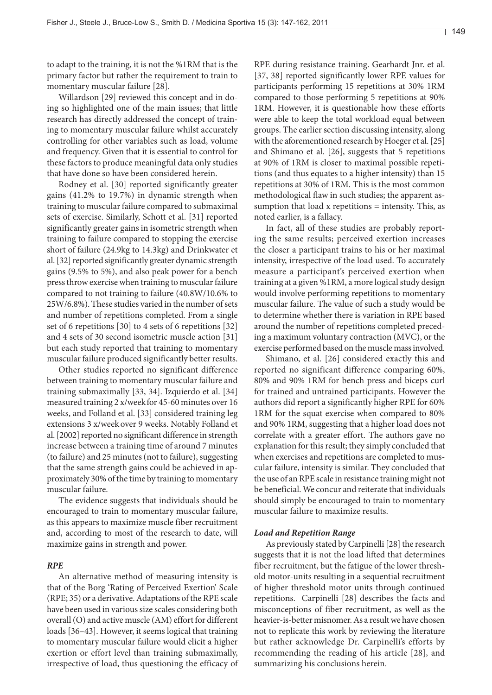to adapt to the training, it is not the %1RM that is the primary factor but rather the requirement to train to momentary muscular failure [28].

Willardson [29] reviewed this concept and in doing so highlighted one of the main issues; that little research has directly addressed the concept of training to momentary muscular failure whilst accurately controlling for other variables such as load, volume and frequency. Given that it is essential to control for these factors to produce meaningful data only studies that have done so have been considered herein.

Rodney et al. [30] reported significantly greater gains (41.2% to 19.7%) in dynamic strength when training to muscular failure compared to submaximal sets of exercise. Similarly, Schott et al. [31] reported significantly greater gains in isometric strength when training to failure compared to stopping the exercise short of failure (24.9kg to 14.3kg) and Drinkwater et al. [32] reported significantly greater dynamic strength gains (9.5% to 5%), and also peak power for a bench press throw exercise when training to muscular failure compared to not training to failure (40.8W/10.6% to 25W/6.8%). These studies varied in the number of sets and number of repetitions completed. From a single set of 6 repetitions [30] to 4 sets of 6 repetitions [32] and 4 sets of 30 second isometric muscle action [31] but each study reported that training to momentary muscular failure produced significantly better results.

Other studies reported no significant difference between training to momentary muscular failure and training submaximally [33, 34]. Izquierdo et al. [34] measured training 2 x/weekfor 45-60 minutes over 16 weeks, and Folland et al. [33] considered training leg extensions 3 x/week over 9 weeks. Notably Folland et al. [2002] reported no significant difference in strength increase between a training time of around 7 minutes (to failure) and 25 minutes (not to failure), suggesting that the same strength gains could be achieved in approximately 30% of the time by training to momentary muscular failure.

The evidence suggests that individuals should be encouraged to train to momentary muscular failure, as this appears to maximize muscle fiber recruitment and, according to most of the research to date, will maximize gains in strength and power.

# *RPE*

An alternative method of measuring intensity is that of the Borg 'Rating of Perceived Exertion' Scale (RPE; 35) or a derivative.Adaptations of the RPE scale have been used in various size scales considering both overall (O) and active muscle (AM) effort for different loads [36–43]. However, it seems logical that training to momentary muscular failure would elicit a higher exertion or effort level than training submaximally, irrespective of load, thus questioning the efficacy of RPE during resistance training. Gearhardt Jnr. et al. [37, 38] reported significantly lower RPE values for participants performing 15 repetitions at 30% 1RM compared to those performing 5 repetitions at 90% 1RM. However, it is questionable how these efforts were able to keep the total workload equal between groups. The earlier section discussing intensity, along with the aforementioned research by Hoeger et al. [25] and Shimano et al. [26], suggests that 5 repetitions at 90% of 1RM is closer to maximal possible repetitions (and thus equates to a higher intensity) than 15 repetitions at 30% of 1RM. This is the most common methodological flaw in such studies; the apparent assumption that load x repetitions = intensity. This, as noted earlier, is a fallacy.

In fact, all of these studies are probably reporting the same results; perceived exertion increases the closer a participant trains to his or her maximal intensity, irrespective of the load used. To accurately measure a participant's perceived exertion when training at a given %1RM, a more logical study design would involve performing repetitions to momentary muscular failure. The value of such a study would be to determine whether there is variation in RPE based around the number of repetitions completed preceding a maximum voluntary contraction (MVC), or the exercise performed based on the muscle mass involved.

Shimano, et al. [26] considered exactly this and reported no significant difference comparing 60%, 80% and 90% 1RM for bench press and biceps curl for trained and untrained participants. However the authors did report a significantly higher RPE for 60% 1RM for the squat exercise when compared to 80% and 90% 1RM, suggesting that a higher load does not correlate with a greater effort. The authors gave no explanation for this result; they simply concluded that when exercises and repetitions are completed to muscular failure, intensity is similar. They concluded that the use of an RPE scale in resistance training might not be beneficial. We concur and reiterate that individuals should simply be encouraged to train to momentary muscular failure to maximize results.

# *Load and Repetition Range*

As previously stated by Carpinelli [28] the research suggests that it is not the load lifted that determines fiber recruitment, but the fatigue of the lower threshold motor-units resulting in a sequential recruitment of higher threshold motor units through continued repetitions. Carpinelli [28] describes the facts and misconceptions of fiber recruitment, as well as the heavier-is-better misnomer. As a result we have chosen not to replicate this work by reviewing the literature but rather acknowledge Dr. Carpinelli's efforts by recommending the reading of his article [28], and summarizing his conclusions herein.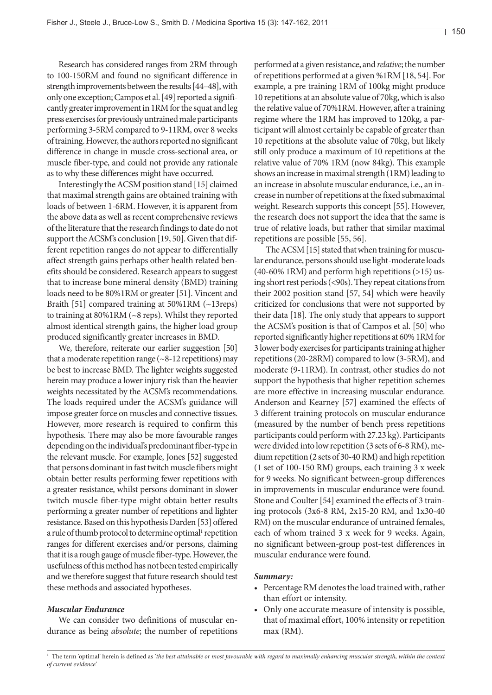Research has considered ranges from 2RM through to 100-150RM and found no significant difference in strength improvements between the results [44–48], with only one exception; Campos et al. [49] reported a significantly greater improvement in 1RM for the squat and leg press exercises for previously untrained male participants performing 3-5RM compared to 9-11RM, over 8 weeks of training. However, the authors reported no significant difference in change in muscle cross-sectional area, or muscle fiber-type, and could not provide any rationale as to why these differences might have occurred.

Interestingly the ACSM position stand [15] claimed that maximal strength gains are obtained training with loads of between 1-6RM. However, it is apparent from the above data as well as recent comprehensive reviews of the literature that the research findings to date do not support the ACSM's conclusion [19, 50]. Given that different repetition ranges do not appear to differentially affect strength gains perhaps other health related benefits should be considered. Research appears to suggest that to increase bone mineral density (BMD) training loads need to be 80%1RM or greater [51]. Vincent and Braith [51] compared training at 50%1RM (~13reps) to training at 80%1RM (~8 reps). Whilst they reported almost identical strength gains, the higher load group produced significantly greater increases in BMD.

We, therefore, reiterate our earlier suggestion [50] that a moderate repetition range  $({\sim}8{\text -}12$  repetitions) may be best to increase BMD. The lighter weights suggested herein may produce a lower injury risk than the heavier weights necessitated by the ACSM's recommendations. The loads required under the ACSM's guidance will impose greater force on muscles and connective tissues. However, more research is required to confirm this hypothesis. There may also be more favourable ranges depending on the individual's predominant fiber-type in the relevant muscle. For example, Jones [52] suggested that persons dominant in fast twitch muscle fibers might obtain better results performing fewer repetitions with a greater resistance, whilst persons dominant in slower twitch muscle fiber-type might obtain better results performing a greater number of repetitions and lighter resistance. Based on this hypothesis Darden [53] offered a rule of thumb protocol to determine optimal<sup>1</sup> repetition ranges for different exercises and/or persons, claiming that it is a rough gauge of muscle fiber-type. However, the usefulness of this method has not been tested empirically and we therefore suggest that future research should test these methods and associated hypotheses.

# *Muscular Endurance*

We can consider two definitions of muscular endurance as being *absolute*; the number of repetitions performed at a given resistance, and *relative*; the number ofrepetitions performed at a given %1RM [18, 54]. For example, a pre training 1RM of 100kg might produce 10 repetitions at an absolute value of 70kg, which is also the relative value of 70%1RM. However, after a training regime where the 1RM has improved to 120kg, a participant will almost certainly be capable of greater than 10 repetitions at the absolute value of 70kg, but likely still only produce a maximum of 10 repetitions at the relative value of 70% 1RM (now 84kg). This example shows an increase in maximal strength (1RM) leading to an increase in absolute muscular endurance, i.e., an increase in number of repetitions at the fixed submaximal weight. Research supports this concept [55]. However, the research does not support the idea that the same is true of relative loads, but rather that similar maximal repetitions are possible [55, 56].

The ACSM [15] stated that when training for muscular endurance, persons should use light-moderate loads  $(40-60\% \text{ 1RM})$  and perform high repetitions  $(>15)$  using short rest periods (<90s). They repeat citations from their 2002 position stand [57, 54] which were heavily criticized for conclusions that were not supported by their data [18]. The only study that appears to support the ACSM's position is that of Campos et al. [50] who reported significantly higher repetitions at 60% 1RM for 3 lower body exercises for participants training at higher repetitions (20-28RM) compared to low (3-5RM), and moderate (9-11RM). In contrast, other studies do not support the hypothesis that higher repetition schemes are more effective in increasing muscular endurance. Anderson and Kearney [57] examined the effects of 3 different training protocols on muscular endurance (measured by the number of bench press repetitions participants could perform with 27.23 kg). Participants were divided into lowrepetition (3 sets of 6-8RM), medium repetition (2 sets of 30-40 RM) and high repetition (1 set of 100-150 RM) groups, each training 3 x week for 9 weeks. No significant between-group differences in improvements in muscular endurance were found. Stone and Coulter [54] examined the effects of 3 training protocols (3x6-8 RM, 2x15-20 RM, and 1x30-40 RM) on the muscular endurance of untrained females, each of whom trained 3 x week for 9 weeks. Again, no significant between-group post-test differences in muscular endurance were found.

#### *Summary:*

- Percentage RM denotes the load trained with, rather than effort or intensity.
- Only one accurate measure of intensity is possible, that of maximal effort, 100% intensity or repetition max (RM).

<sup>1</sup> The term 'optimal' herein is defined as *'the best attainable or most favourable with regard to maximally enhancing muscular strength, within the context of current evidence'*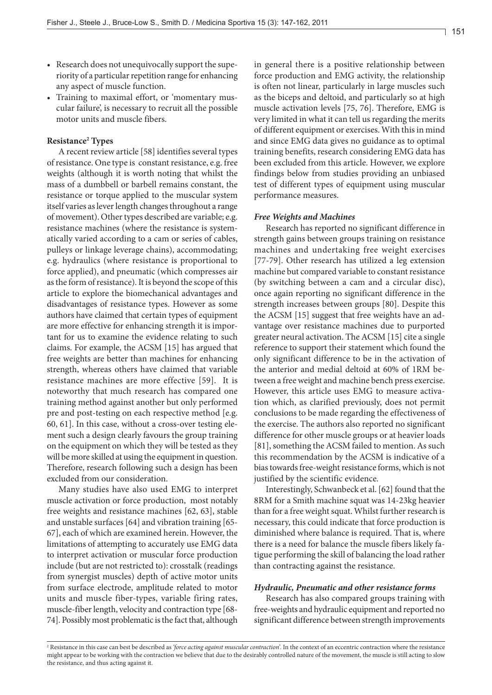- Research does not unequivocally support the superiority of a particular repetition range for enhancing any aspect of muscle function.
- • Training to maximal effort, or 'momentary muscular failure', is necessary to recruit all the possible motor units and muscle fibers.

# **Resistance2 Types**

A recent review article [58] identifies several types of resistance. One type is constant resistance, e.g. free weights (although it is worth noting that whilst the mass of a dumbbell or barbell remains constant, the resistance or torque applied to the muscular system itself varies as lever length changes throughout a range of movement). Other types described are variable; e.g. resistance machines (where the resistance is systematically varied according to a cam or series of cables, pulleys or linkage leverage chains), accommodating; e.g. hydraulics (where resistance is proportional to force applied), and pneumatic (which compresses air as the form of resistance). It is beyond the scope of this article to explore the biomechanical advantages and disadvantages of resistance types. However as some authors have claimed that certain types of equipment are more effective for enhancing strength it is important for us to examine the evidence relating to such claims. For example, the ACSM [15] has argued that free weights are better than machines for enhancing strength, whereas others have claimed that variable resistance machines are more effective [59]. It is noteworthy that much research has compared one training method against another but only performed pre and post-testing on each respective method [e.g. 60, 61]. In this case, without a cross-over testing element such a design clearly favours the group training on the equipment on which they will be tested as they will be more skilled at using the equipment in question. Therefore, research following such a design has been excluded from our consideration.

Many studies have also used EMG to interpret muscle activation or force production, most notably free weights and resistance machines [62, 63], stable and unstable surfaces [64] and vibration training [65- 67], each of which are examined herein. However, the limitations of attempting to accurately use EMG data to interpret activation or muscular force production include (but are not restricted to): crosstalk (readings from synergist muscles) depth of active motor units from surface electrode, amplitude related to motor units and muscle fiber-types, variable firing rates, muscle-fiber length, velocity and contraction type [68- 74]. Possibly most problematic is the fact that, although in general there is a positive relationship between force production and EMG activity, the relationship is often not linear, particularly in large muscles such as the biceps and deltoid, and particularly so at high muscle activation levels [75, 76]. Therefore, EMG is very limited in what it can tell us regarding the merits of different equipment or exercises. With this in mind and since EMG data gives no guidance as to optimal training benefits, research considering EMG data has been excluded from this article. However, we explore findings below from studies providing an unbiased test of different types of equipment using muscular performance measures.

#### *Free Weights and Machines*

Research has reported no significant difference in strength gains between groups training on resistance machines and undertaking free weight exercises [77-79]. Other research has utilized a leg extension machine but compared variable to constant resistance (by switching between a cam and a circular disc), once again reporting no significant difference in the strength increases between groups [80]. Despite this the ACSM [15] suggest that free weights have an advantage over resistance machines due to purported greater neural activation. The ACSM [15] cite a single reference to support their statement which found the only significant difference to be in the activation of the anterior and medial deltoid at 60% of 1RM between a free weight and machine bench press exercise. However, this article uses EMG to measure activation which, as clarified previously, does not permit conclusions to be made regarding the effectiveness of the exercise. The authors also reported no significant difference for other muscle groups or at heavier loads [81], something the ACSM failed to mention. As such this recommendation by the ACSM is indicative of a bias towards free-weight resistance forms, which is not justified by the scientific evidence.

Interestingly, Schwanbeck et al. [62] found that the 8RM for a Smith machine squat was 14-23kg heavier than for a free weight squat. Whilst further research is necessary, this could indicate that force production is diminished where balance is required. That is, where there is a need for balance the muscle fibers likely fatigue performing the skill of balancing the load rather than contracting against the resistance.

#### *Hydraulic, Pneumatic and other resistance forms*

Research has also compared groups training with free-weights and hydraulic equipment and reported no significant difference between strength improvements

<sup>&</sup>lt;sup>2</sup> Resistance in this case can best be described as *'force acting against muscular contraction'*. In the context of an eccentric contraction where the resistance might appear to be working with the contraction we believe that due to the desirably controlled nature of the movement, the muscle is still acting to slow the resistance, and thus acting against it.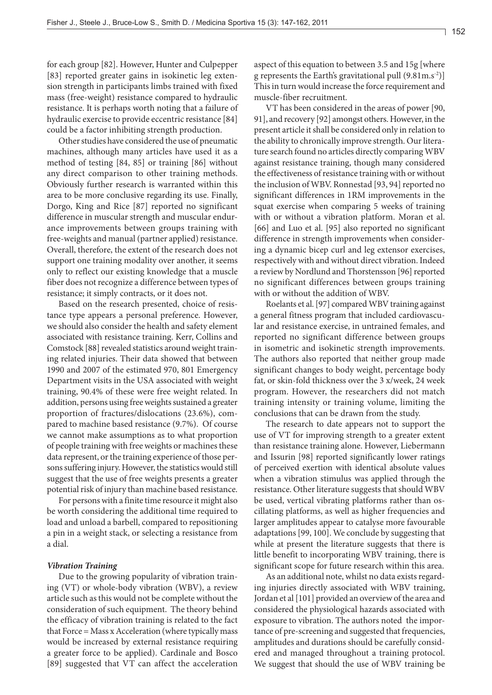for each group [82]. However, Hunter and Culpepper [83] reported greater gains in isokinetic leg extension strength in participants limbs trained with fixed mass (free-weight) resistance compared to hydraulic resistance. It is perhaps worth noting that a failure of hydraulic exercise to provide eccentric resistance [84] could be a factor inhibiting strength production.

Other studies have considered the use of pneumatic machines, although many articles have used it as a method of testing [84, 85] or training [86] without any direct comparison to other training methods. Obviously further research is warranted within this area to be more conclusive regarding its use. Finally, Dorgo, King and Rice [87] reported no significant difference in muscular strength and muscular endurance improvements between groups training with free-weights and manual (partner applied) resistance. Overall, therefore, the extent of the research does not support one training modality over another, it seems only to reflect our existing knowledge that a muscle fiber does not recognize a difference between types of resistance; it simply contracts, or it does not.

Based on the research presented, choice of resistance type appears a personal preference. However, we should also consider the health and safety element associated with resistance training. Kerr, Collins and Comstock [88] revealed statistics around weight training related injuries. Their data showed that between 1990 and 2007 of the estimated 970, 801 Emergency Department visits in the USA associated with weight training, 90.4% of these were free weight related. In addition, persons using free weights sustained a greater proportion of fractures/dislocations (23.6%), compared to machine based resistance (9.7%). Of course we cannot make assumptions as to what proportion of people training with free weights or machines these data represent, or the training experience of those persons suffering injury. However, the statistics would still suggest that the use of free weights presents a greater potential risk of injury than machine based resistance.

For persons with a finite time resource it might also be worth considering the additional time required to load and unload a barbell, compared to repositioning a pin in a weight stack, or selecting a resistance from a dial.

# *Vibration Training*

Due to the growing popularity of vibration training (VT) or whole-body vibration (WBV), a review article such as this would not be complete without the consideration of such equipment. The theory behind the efficacy of vibration training is related to the fact that Force = Mass x Acceleration (where typically mass would be increased by external resistance requiring a greater force to be applied). Cardinale and Bosco [89] suggested that VT can affect the acceleration aspect of this equation to between 3.5 and 15g [where g represents the Earth's gravitational pull  $(9.81 \text{m.s}^{-2})$ ] This in turn would increase the force requirement and muscle-fiber recruitment.

VT has been considered in the areas of power [90, 91], and recovery [92] amongst others. However, in the present article it shall be considered only in relation to the ability to chronically improve strength. Our literature search found no articles directly comparing WBV against resistance training, though many considered the effectiveness of resistance training with or without the inclusion of WBV. Ronnestad [93, 94] reported no significant differences in 1RM improvements in the squat exercise when comparing 5 weeks of training with or without a vibration platform. Moran et al. [66] and Luo et al. [95] also reported no significant difference in strength improvements when considering a dynamic bicep curl and leg extensor exercises, respectively with and without direct vibration. Indeed a review by Nordlund and Thorstensson [96] reported no significant differences between groups training with or without the addition of WBV.

Roelants et al.[97] comparedWBV training against a general fitness program that included cardiovascular and resistance exercise, in untrained females, and reported no significant difference between groups in isometric and isokinetic strength improvements. The authors also reported that neither group made significant changes to body weight, percentage body fat, or skin-fold thickness over the 3 x/week, 24 week program. However, the researchers did not match training intensity or training volume, limiting the conclusions that can be drawn from the study.

The research to date appears not to support the use of VT for improving strength to a greater extent than resistance training alone. However, Liebermann and Issurin [98] reported significantly lower ratings of perceived exertion with identical absolute values when a vibration stimulus was applied through the resistance. Other literature suggests that should WBV be used, vertical vibrating platforms rather than oscillating platforms, as well as higher frequencies and larger amplitudes appear to catalyse more favourable adaptations [99, 100]. We conclude by suggesting that while at present the literature suggests that there is little benefit to incorporating WBV training, there is significant scope for future research within this area.

As an additional note, whilst no data exists regarding injuries directly associated with WBV training, Jordan et al [101] provided an overview of the area and considered the physiological hazards associated with exposure to vibration. The authors noted the importance of pre-screening and suggested that frequencies, amplitudes and durations should be carefully considered and managed throughout a training protocol. We suggest that should the use of WBV training be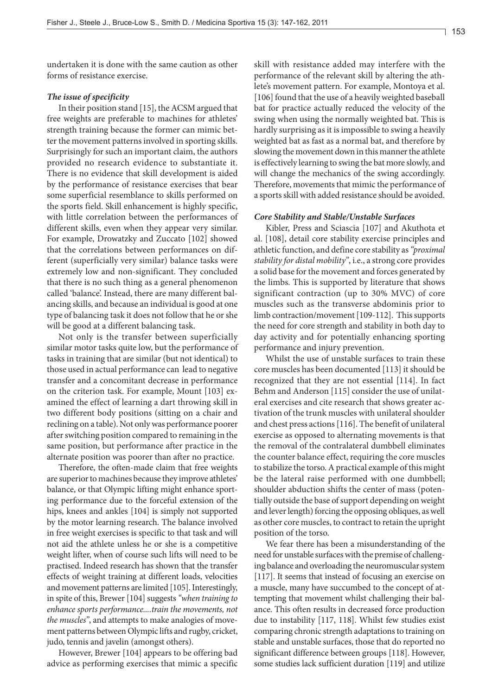undertaken it is done with the same caution as other forms of resistance exercise.

# *The issue of specificity*

In their position stand [15], the ACSM argued that free weights are preferable to machines for athletes' strength training because the former can mimic better the movement patterns involved in sporting skills. Surprisingly for such an important claim, the authors provided no research evidence to substantiate it. There is no evidence that skill development is aided by the performance of resistance exercises that bear some superficial resemblance to skills performed on the sports field. Skill enhancement is highly specific, with little correlation between the performances of different skills, even when they appear very similar. For example, Drowatzky and Zuccato [102] showed that the correlations between performances on different (superficially very similar) balance tasks were extremely low and non-significant. They concluded that there is no such thing as a general phenomenon called 'balance'. Instead, there are many different balancing skills, and because an individual is good at one type of balancing task it does not follow that he or she will be good at a different balancing task.

Not only is the transfer between superficially similar motor tasks quite low, but the performance of tasks in training that are similar (but not identical) to those used in actual performance can lead to negative transfer and a concomitant decrease in performance on the criterion task. For example, Mount [103] examined the effect of learning a dart throwing skill in two different body positions (sitting on a chair and reclining on a table). Not only was performance poorer after switching position compared to remaining in the same position, but performance after practice in the alternate position was poorer than after no practice.

Therefore, the often-made claim that free weights are superior to machines because they improve athletes' balance, or that Olympic lifting might enhance sporting performance due to the forceful extension of the hips, knees and ankles [104] is simply not supported by the motor learning research. The balance involved in free weight exercises is specific to that task and will not aid the athlete unless he or she is a competitive weight lifter, when of course such lifts will need to be practised. Indeed research has shown that the transfer effects of weight training at different loads, velocities and movement patterns are limited [105]. Interestingly, in spite of this, Brewer [104] suggests *"when training to enhance sports performance....train the movements, not the muscles"*, and attempts to make analogies of movement patterns between Olympic lifts and rugby, cricket, judo, tennis and javelin (amongst others).

However, Brewer [104] appears to be offering bad advice as performing exercises that mimic a specific skill with resistance added may interfere with the performance of the relevant skill by altering the athlete's movement pattern. For example, Montoya et al. [106] found that the use of a heavily weighted baseball bat for practice actually reduced the velocity of the swing when using the normally weighted bat. This is hardly surprising as it is impossible to swing a heavily weighted bat as fast as a normal bat, and therefore by slowing the movement down in this manner the athlete is effectively learning to swing the bat more slowly, and will change the mechanics of the swing accordingly. Therefore, movements that mimic the performance of a sports skill with added resistance should be avoided.

#### *Core Stability and Stable/Unstable Surfaces*

Kibler, Press and Sciascia [107] and Akuthota et al. [108], detail core stability exercise principles and athletic function, and define core stability as *"proximal stability for distal mobility"*, i.e., a strong core provides a solid base for the movement and forces generated by the limbs. This is supported by literature that shows significant contraction (up to 30% MVC) of core muscles such as the transverse abdominis prior to limb contraction/movement [109-112]. This supports the need for core strength and stability in both day to day activity and for potentially enhancing sporting performance and injury prevention.

Whilst the use of unstable surfaces to train these core muscles has been documented [113] it should be recognized that they are not essential [114]. In fact Behm and Anderson [115] consider the use of unilateral exercises and cite research that shows greater activation of the trunk muscles with unilateral shoulder and chest press actions [116]. The benefit of unilateral exercise as opposed to alternating movements is that the removal of the contralateral dumbbell eliminates the counter balance effect, requiring the core muscles to stabilize the torso. A practical example of this might be the lateral raise performed with one dumbbell; shoulder abduction shifts the center of mass (potentially outside the base of support depending on weight and lever length) forcing the opposing obliques, as well as other core muscles, to contract to retain the upright position of the torso.

We fear there has been a misunderstanding of the need for unstable surfaces with the premise of challenging balance and overloading the neuromuscular system [117]. It seems that instead of focusing an exercise on a muscle, many have succumbed to the concept of attempting that movement whilst challenging their balance. This often results in decreased force production due to instability [117, 118]. Whilst few studies exist comparing chronic strength adaptations to training on stable and unstable surfaces, those that do reported no significant difference between groups [118]. However, some studies lack sufficient duration [119] and utilize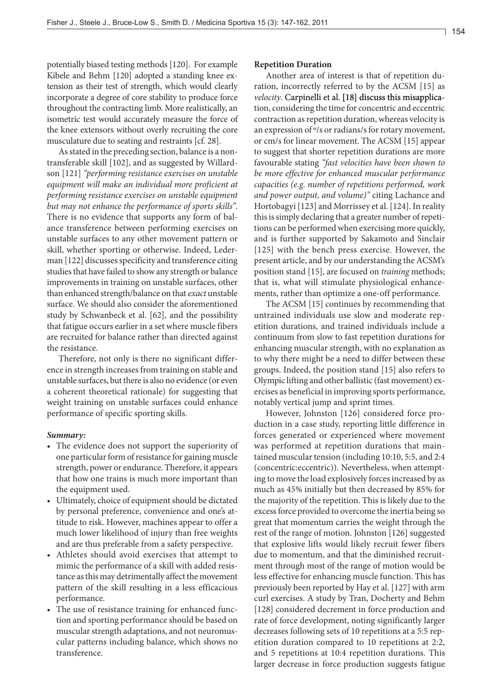potentially biased testing methods [120]. For example Kibele and Behm [120] adopted a standing knee extension as their test of strength, which would clearly incorporate a degree of core stability to produce force throughout the contracting limb. More realistically, an isometric test would accurately measure the force of the knee extensors without overly recruiting the core musculature due to seating and restraints [cf. 28].

As stated in the preceding section, balance is a nontransferable skill [102], and as suggested by Willardson [121] *"performing resistance exercises on unstable equipment will make an individual more proficient at performing resistance exercises on unstable equipment but may not enhance the performance of sports skills"*. There is no evidence that supports any form of balance transference between performing exercises on unstable surfaces to any other movement pattern or skill, whether sporting or otherwise. Indeed, Lederman [122] discusses specificity and transference citing studies that have failed to show any strength or balance improvements in training on unstable surfaces, other than enhanced strength/balance on that *exact* unstable surface. We should also consider the aforementioned study by Schwanbeck et al. [62], and the possibility that fatigue occurs earlier in a set where muscle fibers are recruited for balance rather than directed against the resistance.

Therefore, not only is there no significant difference in strength increases from training on stable and unstable surfaces, but there is also no evidence (or even a coherent theoretical rationale) for suggesting that weight training on unstable surfaces could enhance performance of specific sporting skills.

# *Summary:*

- The evidence does not support the superiority of one particular form of resistance for gaining muscle strength, power or endurance. Therefore, it appears that how one trains is much more important than the equipment used.
- Ultimately, choice of equipment should be dictated by personal preference, convenience and one's attitude to risk. However, machines appear to offer a much lower likelihood of injury than free weights and are thus preferable from a safety perspective.
- Athletes should avoid exercises that attempt to mimic the performance of a skill with added resistance as this may detrimentally affect the movement pattern of the skill resulting in a less efficacious performance.
- The use of resistance training for enhanced function and sporting performance should be based on muscular strength adaptations, and not neuromuscular patterns including balance, which shows no transference.

# **Repetition Duration**

Another area of interest is that of repetition duration, incorrectly referred to by the ACSM [15] as *velocity*. Carpinelli et al. [18] discuss this misapplication, considering the time for concentric and eccentric contraction as repetition duration, whereas velocity is an expression of º/s or radians/s for rotary movement, or cm/s for linear movement. The ACSM [15] appear to suggest that shorter repetition durations are more favourable stating *"fast velocities have been shown to be more effective for enhanced muscular performance capacities (e.g. number of repetitions performed, work and power output, and volume)"* citing Lachance and Hortobagyi [123] and Morrissey et al. [124]. In reality this is simply declaring that a greater number of repetitions can be performed when exercising more quickly, and is further supported by Sakamoto and Sinclair [125] with the bench press exercise. However, the present article, and by our understanding the ACSM's position stand [15], are focused on *training* methods; that is, what will stimulate physiological enhancements, rather than optimize a one-off performance.

The ACSM [15] continues by recommending that untrained individuals use slow and moderate repetition durations, and trained individuals include a continuum from slow to fast repetition durations for enhancing muscular strength, with no explanation as to why there might be a need to differ between these groups. Indeed, the position stand [15] also refers to Olympic lifting and other ballistic (fast movement) exercises as beneficial in improving sports performance, notably vertical jump and sprint times.

However, Johnston [126] considered force production in a case study, reporting little difference in forces generated or experienced where movement was performed at repetition durations that maintained muscular tension (including 10:10, 5:5, and 2:4 (concentric:eccentric)). Nevertheless, when attempting to move the load explosively forces increased by as much as 45% initially but then decreased by 85% for the majority of the repetition. This is likely due to the excess force provided to overcome the inertia being so great that momentum carries the weight through the rest of the range of motion. Johnston [126] suggested that explosive lifts would likely recruit fewer fibers due to momentum, and that the diminished recruitment through most of the range of motion would be less effective for enhancing muscle function. This has previously been reported by Hay et al. [127] with arm curl exercises. A study by Tran, Docherty and Behm [128] considered decrement in force production and rate of force development, noting significantly larger decreases following sets of 10 repetitions at a 5:5 repetition duration compared to 10 repetitions at 2:2, and 5 repetitions at 10:4 repetition durations. This larger decrease in force production suggests fatigue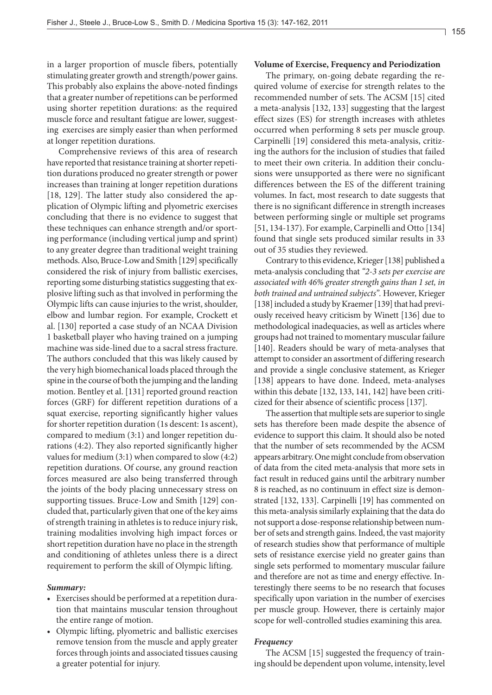in a larger proportion of muscle fibers, potentially stimulating greater growth and strength/power gains. This probably also explains the above-noted findings that a greater number of repetitions can be performed using shorter repetition durations: as the required muscle force and resultant fatigue are lower, suggesting exercises are simply easier than when performed at longer repetition durations.

Comprehensive reviews of this area of research have reported that resistance training at shorter repetition durations produced no greater strength or power increases than training at longer repetition durations [18, 129]. The latter study also considered the application of Olympic lifting and plyometric exercises concluding that there is no evidence to suggest that these techniques can enhance strength and/or sporting performance (including vertical jump and sprint) to any greater degree than traditional weight training methods. Also, Bruce-Low and Smith [129] specifically considered the risk of injury from ballistic exercises, reporting some disturbing statistics suggesting that explosive lifting such as that involved in performing the Olympic lifts can cause injuries to the wrist, shoulder, elbow and lumbar region. For example, Crockett et al. [130] reported a case study of an NCAA Division 1 basketball player who having trained on a jumping machine was side-lined due to a sacral stress fracture. The authors concluded that this was likely caused by the very high biomechanical loads placed through the spine in the course of both the jumping and the landing motion. Bentley et al. [131] reported ground reaction forces (GRF) for different repetition durations of a squat exercise, reporting significantly higher values for shorter repetition duration (1s descent: 1s ascent), compared to medium (3:1) and longer repetition durations (4:2). They also reported significantly higher values for medium (3:1) when compared to slow (4:2) repetition durations. Of course, any ground reaction forces measured are also being transferred through the joints of the body placing unnecessary stress on supporting tissues. Bruce-Low and Smith [129] concluded that, particularly given that one of the key aims of strength training in athletes is to reduce injury risk, training modalities involving high impact forces or short repetition duration have no place in the strength and conditioning of athletes unless there is a direct requirement to perform the skill of Olympic lifting.

# *Summary:*

- Exercises should be performed at a repetition duration that maintains muscular tension throughout the entire range of motion.
- Olympic lifting, plyometric and ballistic exercises remove tension from the muscle and apply greater forces through joints and associated tissues causing a greater potential for injury.

#### **Volume of Exercise, Frequency and Periodization**

The primary, on-going debate regarding the required volume of exercise for strength relates to the recommended number of sets. The ACSM [15] cited a meta-analysis [132, 133] suggesting that the largest effect sizes (ES) for strength increases with athletes occurred when performing 8 sets per muscle group. Carpinelli [19] considered this meta-analysis, critizing the authors for the inclusion of studies that failed to meet their own criteria. In addition their conclusions were unsupported as there were no significant differences between the ES of the different training volumes. In fact, most research to date suggests that there is no significant difference in strength increases between performing single or multiple set programs [51, 134-137). For example, Carpinelli and Otto [134] found that single sets produced similar results in 33 out of 35 studies they reviewed.

Contrary to this evidence, Krieger [138] published a meta-analysis concluding that *"2-3 sets per exercise are associated with 46% greater strength gains than 1 set, in both trained and untrained subjects".* However, Krieger [138] included a study by Kraemer [139] that had previously received heavy criticism by Winett [136] due to methodological inadequacies, as well as articles where groups had not trained to momentary muscular failure [140]. Readers should be wary of meta-analyses that attempt to consider an assortment of differing research and provide a single conclusive statement, as Krieger [138] appears to have done. Indeed, meta-analyses within this debate [132, 133, 141, 142] have been criticized for their absence of scientific process [137].

The assertion that multiple sets are superior to single sets has therefore been made despite the absence of evidence to support this claim. It should also be noted that the number of sets recommended by the ACSM appears arbitrary. One might conclude from observation of data from the cited meta-analysis that more sets in fact result in reduced gains until the arbitrary number 8 is reached, as no continuum in effect size is demonstrated [132, 133]. Carpinelli [19] has commented on this meta-analysis similarly explaining that the data do not support a dose-response relationship between number of sets and strength gains. Indeed, the vast majority of research studies show that performance of multiple sets of resistance exercise yield no greater gains than single sets performed to momentary muscular failure and therefore are not as time and energy effective. Interestingly there seems to be no research that focuses specifically upon variation in the number of exercises per muscle group. However, there is certainly major scope for well-controlled studies examining this area.

# *Frequency*

The ACSM [15] suggested the frequency of training should be dependent upon volume, intensity, level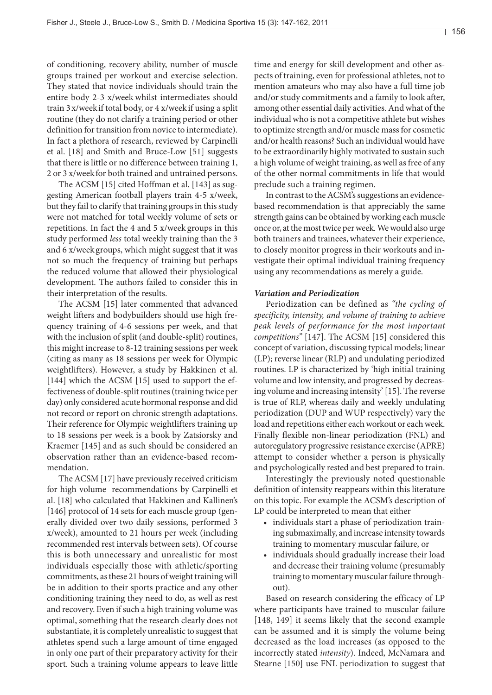of conditioning, recovery ability, number of muscle groups trained per workout and exercise selection. They stated that novice individuals should train the entire body 2-3 x/week whilst intermediates should train 3x/weekif total body, or 4 x/weekif using a split routine (they do not clarify a training period or other definition for transition from novice to intermediate). In fact a plethora of research, reviewed by Carpinelli et al. [18] and Smith and Bruce-Low [51] suggests that there is little or no difference between training 1, 2 or 3 x/weekfor both trained and untrained persons.

The ACSM [15] cited Hoffman et al. [143] as suggesting American football players train 4-5 x/week, but they fail to clarify that training groups in this study were not matched for total weekly volume of sets or repetitions. In fact the 4 and 5 x/week groups in this study performed *less* total weekly training than the 3 and 6 x/week groups, which might suggest that it was not so much the frequency of training but perhaps the reduced volume that allowed their physiological development. The authors failed to consider this in their interpretation of the results.

The ACSM [15] later commented that advanced weight lifters and bodybuilders should use high frequency training of 4-6 sessions per week, and that with the inclusion of split (and double-split) routines, this might increase to 8-12 training sessions per week (citing as many as 18 sessions per week for Olympic weightlifters). However, a study by Hakkinen et al. [144] which the ACSM [15] used to support the effectiveness of double-split routines (training twice per day) only considered acute hormonal response and did not record or report on chronic strength adaptations. Their reference for Olympic weightlifters training up to 18 sessions per week is a book by Zatsiorsky and Kraemer [145] and as such should be considered an observation rather than an evidence-based recommendation.

The ACSM [17] have previously received criticism for high volume recommendations by Carpinelli et al. [18] who calculated that Hakkinen and Kallinen's [146] protocol of 14 sets for each muscle group (generally divided over two daily sessions, performed 3 x/week), amounted to 21 hours per week (including recommended rest intervals between sets). Of course this is both unnecessary and unrealistic for most individuals especially those with athletic/sporting commitments, as these 21 hours of weight training will be in addition to their sports practice and any other conditioning training they need to do, as well as rest and recovery. Even if such a high training volume was optimal, something that the research clearly does not substantiate, it is completely unrealistic to suggest that athletes spend such a large amount of time engaged in only one part of their preparatory activity for their sport. Such a training volume appears to leave little

time and energy for skill development and other aspects of training, even for professional athletes, not to mention amateurs who may also have a full time job and/or study commitments and a family to look after, among other essential daily activities. And what of the individual who is not a competitive athlete but wishes to optimize strength and/or muscle mass for cosmetic and/or health reasons? Such an individual would have to be extraordinarily highly motivated to sustain such a high volume of weight training, as well as free of any of the other normal commitments in life that would preclude such a training regimen.

In contrast to the ACSM's suggestions an evidencebased recommendation is that appreciably the same strength gains can be obtained by working each muscle once or, at the most twice per week. We would also urge both trainers and trainees, whatever their experience, to closely monitor progress in their workouts and investigate their optimal individual training frequency using any recommendations as merely a guide.

### *Variation and Periodization*

Periodization can be defined as *"the cycling of specificity, intensity, and volume of training to achieve peak levels of performance for the most important competitions"* [147]. The ACSM [15] considered this concept of variation, discussing typical models; linear (LP); reverse linear (RLP) and undulating periodized routines. LP is characterized by 'high initial training volume and low intensity, and progressed by decreasing volume and increasing intensity' [15]. The reverse is true of RLP, whereas daily and weekly undulating periodization (DUP and WUP respectively) vary the load and repetitions either each workout or each week. Finally flexible non-linear periodization (FNL) and autoregulatory progressive resistance exercise (APRE) attempt to consider whether a person is physically and psychologically rested and best prepared to train.

Interestingly the previously noted questionable definition of intensity reappears within this literature on this topic. For example the ACSM's description of LP could be interpreted to mean that either

- • individuals start a phase of periodization training submaximally, and increase intensity towards training to momentary muscular failure, or
- individuals should gradually increase their load and decrease their training volume (presumably training to momentary muscular failure throughout).

Based on research considering the efficacy of LP where participants have trained to muscular failure [148, 149] it seems likely that the second example can be assumed and it is simply the volume being decreased as the load increases (as opposed to the incorrectly stated *intensity*). Indeed, McNamara and Stearne [150] use FNL periodization to suggest that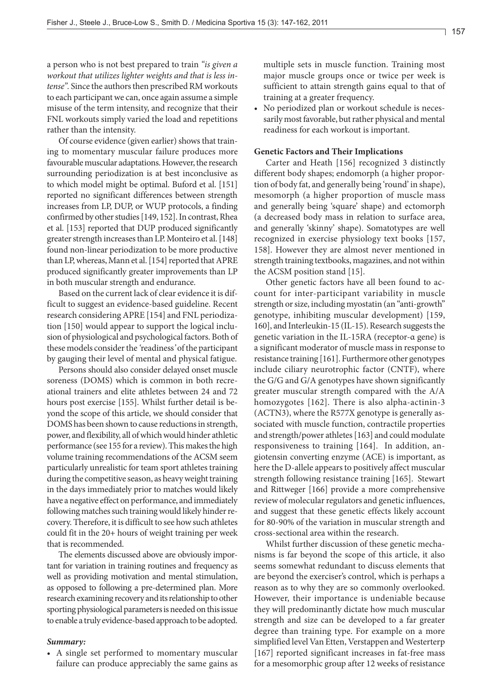a person who is not best prepared to train *"is given a workout that utilizes lighter weights and that is less in*tense". Since the authors then prescribed RM workouts to each participant we can, once again assume a simple misuse of the term intensity, and recognize that their FNL workouts simply varied the load and repetitions rather than the intensity.

Of course evidence (given earlier) shows that training to momentary muscular failure produces more favourable muscular adaptations. However, the research surrounding periodization is at best inconclusive as to which model might be optimal. Buford et al. [151] reported no significant differences between strength increases from LP, DUP, or WUP protocols, a finding confirmed by other studies [149, 152]. In contrast, Rhea et al. [153] reported that DUP produced significantly greater strength increases than LP. Monteiro et al. [148] found non-linear periodization to be more productive than LP, whereas, Mann et al. [154] reported that APRE produced significantly greater improvements than LP in both muscular strength and endurance.

Based on the current lack of clear evidence it is difficult to suggest an evidence-based guideline. Recent research consideringAPRE [154] and FNL periodization [150] would appear to support the logical inclusion of physiological and psychological factors. Both of these models consider the *'*readiness*'* of the participant by gauging their level of mental and physical fatigue.

Persons should also consider delayed onset muscle soreness (DOMS) which is common in both recreational trainers and elite athletes between 24 and 72 hours post exercise [155]. Whilst further detail is beyond the scope of this article, we should consider that DOMS has been shown to cause reductions in strength, power, and flexibility, all of which would hinder athletic performance (see 155 for a review). This makes the high volume training recommendations of the ACSM seem particularly unrealistic for team sport athletes training during the competitive season, as heavy weight training in the days immediately prior to matches would likely have a negative effect on performance, and immediately following matches such training would likely hinder recovery. Therefore, it is difficult to see how such athletes could fit in the 20+ hours of weight training per week that is recommended.

The elements discussed above are obviously important for variation in training routines and frequency as well as providing motivation and mental stimulation, as opposed to following a pre-determined plan. More research examining recovery and its relationship to other sporting physiological parameters is needed on this issue to enable a truly evidence-based approach to be adopted.

# *Summary:*

• A single set performed to momentary muscular failure can produce appreciably the same gains as multiple sets in muscle function. Training most major muscle groups once or twice per week is sufficient to attain strength gains equal to that of training at a greater frequency.

• No periodized plan or workout schedule is necessarily most favorable, but rather physical and mental readiness for each workout is important.

# **Genetic Factors and Their Implications**

Carter and Heath [156] recognized 3 distinctly different body shapes; endomorph (a higher proportion of body fat, and generally being 'round' in shape), mesomorph (a higher proportion of muscle mass and generally being 'square' shape) and ectomorph (a decreased body mass in relation to surface area, and generally 'skinny' shape). Somatotypes are well recognized in exercise physiology text books [157, 158]. However they are almost never mentioned in strength training textbooks, magazines, and not within the ACSM position stand [15].

Other genetic factors have all been found to account for inter-participant variability in muscle strength or size, including myostatin (an "anti-growth" genotype, inhibiting muscular development) [159, 160], and Interleukin-15 (IL-15). Research suggests the genetic variation in the IL-15RA (receptor-α gene) is a significant moderator of muscle mass in response to resistance training [161]. Furthermore other genotypes include ciliary neurotrophic factor (CNTF), where the G/G and G/A genotypes have shown significantly greater muscular strength compared with the A/A homozygotes [162]. There is also alpha-actinin-3 (ACTN3), where the R577X genotype is generally associated with muscle function, contractile properties and strength/power athletes [163] and could modulate responsiveness to training [164]. In addition, angiotensin converting enzyme (ACE) is important, as here the D-allele appears to positively affect muscular strength following resistance training [165]. Stewart and Rittweger [166] provide a more comprehensive review of molecular regulators and genetic influences, and suggest that these genetic effects likely account for 80-90% of the variation in muscular strength and cross-sectional area within the research.

Whilst further discussion of these genetic mechanisms is far beyond the scope of this article, it also seems somewhat redundant to discuss elements that are beyond the exerciser's control, which is perhaps a reason as to why they are so commonly overlooked. However, their importance is undeniable because they will predominantly dictate how much muscular strength and size can be developed to a far greater degree than training type. For example on a more simplified level Van Etten, Verstappen and Westerterp [167] reported significant increases in fat-free mass for a mesomorphic group after 12 weeks of resistance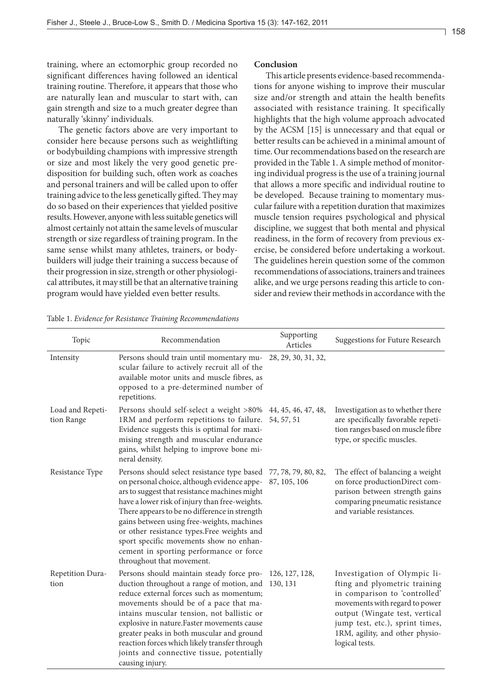158

training, where an ectomorphic group recorded no significant differences having followed an identical training routine. Therefore, it appears that those who are naturally lean and muscular to start with, can gain strength and size to a much greater degree than naturally 'skinny' individuals.

The genetic factors above are very important to consider here because persons such as weightlifting or bodybuilding champions with impressive strength or size and most likely the very good genetic predisposition for building such, often work as coaches and personal trainers and will be called upon to offer training advice to the less genetically gifted. They may do so based on their experiences that yielded positive results. However, anyone with less suitable genetics will almost certainly not attain the same levels of muscular strength or size regardless of training program. In the same sense whilst many athletes, trainers, or bodybuilders will judge their training a success because of their progression in size, strength or other physiological attributes, it may still be that an alternative training program would have yielded even better results.

# **Conclusion**

This article presents evidence-based recommendations for anyone wishing to improve their muscular size and/or strength and attain the health benefits associated with resistance training. It specifically highlights that the high volume approach advocated by the ACSM [15] is unnecessary and that equal or better results can be achieved in a minimal amount of time. Our recommendations based on the research are provided in the Table 1. A simple method of monitoring individual progress is the use of a training journal that allows a more specific and individual routine to be developed. Because training to momentary muscular failure with a repetition duration that maximizes muscle tension requires psychological and physical discipline, we suggest that both mental and physical readiness, in the form of recovery from previous exercise, be considered before undertaking a workout. The guidelines herein question some of the common recommendations of associations, trainers and trainees alike, and we urge persons reading this article to consider and review their methods in accordance with the

Table 1. *Evidence for Resistance Training Recommendations*

| Topic                          | Recommendation                                                                                                                                                                                                                                                                                                                                                                                                                                                                    | Supporting<br>Articles            | Suggestions for Future Research                                                                                                                                                                                                                            |
|--------------------------------|-----------------------------------------------------------------------------------------------------------------------------------------------------------------------------------------------------------------------------------------------------------------------------------------------------------------------------------------------------------------------------------------------------------------------------------------------------------------------------------|-----------------------------------|------------------------------------------------------------------------------------------------------------------------------------------------------------------------------------------------------------------------------------------------------------|
| Intensity                      | Persons should train until momentary mu-<br>scular failure to actively recruit all of the<br>available motor units and muscle fibres, as<br>opposed to a pre-determined number of<br>repetitions.                                                                                                                                                                                                                                                                                 | 28, 29, 30, 31, 32,               |                                                                                                                                                                                                                                                            |
| Load and Repeti-<br>tion Range | Persons should self-select a weight >80%<br>1RM and perform repetitions to failure.<br>Evidence suggests this is optimal for maxi-<br>mising strength and muscular endurance<br>gains, whilst helping to improve bone mi-<br>neral density.                                                                                                                                                                                                                                       | 44, 45, 46, 47, 48,<br>54, 57, 51 | Investigation as to whether there<br>are specifically favorable repeti-<br>tion ranges based on muscle fibre<br>type, or specific muscles.                                                                                                                 |
| Resistance Type                | Persons should select resistance type based 77, 78, 79, 80, 82,<br>on personal choice, although evidence appe-<br>ars to suggest that resistance machines might<br>have a lower risk of injury than free-weights.<br>There appears to be no difference in strength<br>gains between using free-weights, machines<br>or other resistance types.Free weights and<br>sport specific movements show no enhan-<br>cement in sporting performance or force<br>throughout that movement. | 87, 105, 106                      | The effect of balancing a weight<br>on force productionDirect com-<br>parison between strength gains<br>comparing pneumatic resistance<br>and variable resistances.                                                                                        |
| Repetition Dura-<br>tion       | Persons should maintain steady force pro-<br>duction throughout a range of motion, and<br>reduce external forces such as momentum;<br>movements should be of a pace that ma-<br>intains muscular tension, not ballistic or<br>explosive in nature.Faster movements cause<br>greater peaks in both muscular and ground<br>reaction forces which likely transfer through<br>joints and connective tissue, potentially<br>causing injury.                                            | 126, 127, 128,<br>130, 131        | Investigation of Olympic li-<br>fting and plyometric training<br>in comparison to 'controlled'<br>movements with regard to power<br>output (Wingate test, vertical<br>jump test, etc.), sprint times,<br>1RM, agility, and other physio-<br>logical tests. |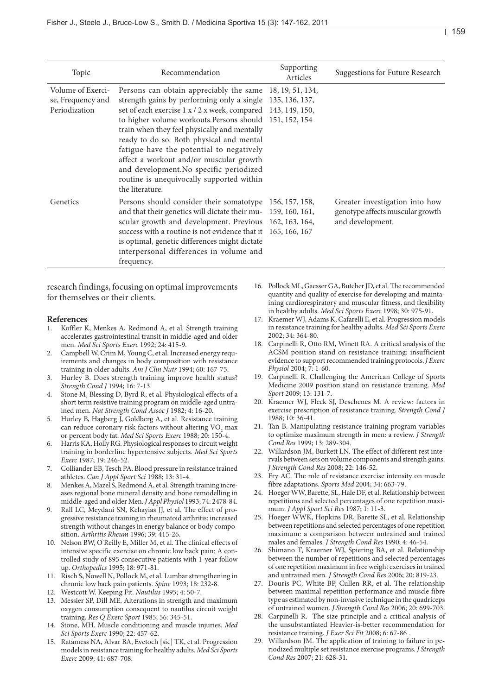| Topic                                                   | Recommendation                                                                                                                                                                                                                                                                                                                                                                                                                                                                                                                                 | Supporting<br>Articles | <b>Suggestions for Future Research</b>                                                 |
|---------------------------------------------------------|------------------------------------------------------------------------------------------------------------------------------------------------------------------------------------------------------------------------------------------------------------------------------------------------------------------------------------------------------------------------------------------------------------------------------------------------------------------------------------------------------------------------------------------------|------------------------|----------------------------------------------------------------------------------------|
| Volume of Exerci-<br>se, Frequency and<br>Periodization | Persons can obtain appreciably the same 18, 19, 51, 134,<br>strength gains by performing only a single 135, 136, 137,<br>set of each exercise 1 x / 2 x week, compared 143, 149, 150,<br>to higher volume workouts. Persons should 151, 152, 154<br>train when they feel physically and mentally<br>ready to do so. Both physical and mental<br>fatigue have the potential to negatively<br>affect a workout and/or muscular growth<br>and development. No specific periodized<br>routine is unequivocally supported within<br>the literature. |                        |                                                                                        |
| Genetics                                                | Persons should consider their somatotype 156, 157, 158,<br>and that their genetics will dictate their mu- 159, 160, 161,<br>scular growth and development. Previous 162, 163, 164,<br>success with a routine is not evidence that it 165, 166, 167<br>is optimal, genetic differences might dictate<br>interpersonal differences in volume and<br>frequency.                                                                                                                                                                                   |                        | Greater investigation into how<br>genotype affects muscular growth<br>and development. |

research findings, focusing on optimal improvements for themselves or their clients.

#### **References**

- 1. Koffler K, Menkes A, Redmond A, et al. Strength training accelerates gastrointestinal transit in middle-aged and older men. *Med Sci Sports Exerc* 1992; 24: 415-9.
- 2. Campbell W, Crim M, Young C, et al. Increased energy requirements and changes in body composition with resistance training in older adults. *Am J Clin Nutr* 1994; 60: 167-75.
- 3. Hurley B. Does strength training improve health status? *Strength Cond J* 1994; 16: 7-13.
- 4. Stone M, Blessing D, Byrd R, et al. Physiological effects of a short term resistive training program on middle-aged untrained men. *Nat Strength Cond Assoc J* 1982; 4: 16-20.
- 5. Hurley B, Hagberg J, Goldberg A, et al. Resistance training can reduce coronary risk factors without altering  $VO<sub>2</sub>$  max or percent body fat. *Med Sci Sports Exerc* 1988; 20: 150-4.
- 6. Harris KA, Holly RG. Physiological responses to circuit weight training in borderline hypertensive subjects. *Med Sci Sports Exerc* 1987; 19: 246-52.
- 7. Colliander EB, Tesch PA. Blood pressure in resistance trained athletes. *Can J Appl Sport Sci* 1988; 13: 31-4.
- 8. Menkes A, Mazel S, Redmond A, et al. Strength training increases regional bone mineral density and bone remodelling in middle-aged and older Men. *J Appl Physiol* 1993; 74: 2478-84.
- 9. Rall LC, Meydani SN, Kehayias JJ, et al. The effect of progressive resistance training in rheumatoid arthritis: increased strength without changes in energy balance or body composition. *Arthritis Rheum* 1996; 39: 415-26.
- 10. Nelson BW, O'Reilly E, Miller M, et al. The clinical effects of intensive specific exercise on chronic low back pain: A controlled study of 895 consecutive patients with 1-year follow up. *Orthopedics* 1995; 18: 971-81.
- 11. Risch S, Nowell N, Pollock M, et al. Lumbar strengthening in chronic low back pain patients. *Spine* 1993; 18: 232-8.
- 12. Westcott W. Keeping Fit. *Nautilus* 1995; 4: 50-7.
- 13. Messier SP, Dill ME. Alterations in strength and maximum oxygen consumption consequent to nautilus circuit weight training. *Res Q Exerc Sport* 1985; 56: 345-51.
- 14. Stone, MH. Muscle conditioning and muscle injuries. *Med Sci Sports Exerc* 1990; 22: 457-62.
- 15. Ratamess NA, Alvar BA, Evetoch [sic] TK, et al. Progression models in resistance training for healthy adults. *Med Sci Sports Exerc* 2009; 41: 687-708.
- 16. Pollock ML, Gaesser GA, Butcher JD, et al. The recommended quantity and quality of exercise for developing and maintaining cardiorespiratory and muscular fitness, and flexibility in healthy adults. *Med Sci Sports Exerc* 1998; 30: 975-91.
- 17. Kraemer WJ, Adams K, Cafarelli E, et al. Progression models in resistance training for healthy adults. *Med Sci Sports Exerc*  2002; 34: 364-80.
- 18. Carpinelli R, Otto RM, Winett RA. A critical analysis of the ACSM position stand on resistance training: insufficient evidence to support recommended training protocols. *J Exerc Physiol* 2004; 7: 1-60.
- 19. Carpinelli R. Challenging the American College of Sports Medicine 2009 position stand on resistance training. *Med Sport* 2009; 13: 131-7.
- 20. Kraemer WJ, Fleck SJ, Deschenes M. A review: factors in exercise prescription of resistance training. *Strength Cond J* 1988; 10: 36-41.
- 21. Tan B. Manipulating resistance training program variables to optimize maximum strength in men: a review. *J Strength Cond Res* 1999; 13: 289-304.
- 22. Willardson JM, Burkett LN. The effect of different rest intervals between sets on volume components and strength gains. *J Strength Cond Res* 2008; 22: 146-52.
- 23. Fry AC. The role of resistance exercise intensity on muscle fibre adaptations. *Sports Med* 2004; 34: 663-79.
- 24. Hoeger WW, Barette, SL, Hale DF, et al. Relationship between repetitions and selected percentages of one repetition maximum. *J Appl Sport Sci Res* 1987; 1: 11-3.
- 25. Hoeger WWK, Hopkins DR, Barette SL, et al. Relationship between repetitions and selected percentages of one repetition maximum: a comparison between untrained and trained males and females. *J Strength Cond Res* 1990; 4: 46-54.
- 26. Shimano T, Kraemer WJ, Spiering BA, et al. Relationship between the number of repetitions and selected percentages of one repetition maximum in free weight exercises in trained and untrained men. *J Strength Cond Res* 2006; 20: 819-23.
- 27. Douris PC, White BP, Cullen RR, et al. The relationship between maximal repetition performance and muscle fibre type as estimated by non-invasive technique in the quadriceps of untrained women. *J Strength Cond Res* 2006; 20: 699-703.
- 28. Carpinelli R. The size principle and a critical analysis of the unsubstantiated Heavier-is-better recommendation for resistance training. *J Exer Sci Fit* 2008; 6: 67-86 .
- 29. Willardson JM. The application of training to failure in periodized multiple set resistance exercise programs. *J Strength Cond Res* 2007; 21: 628-31.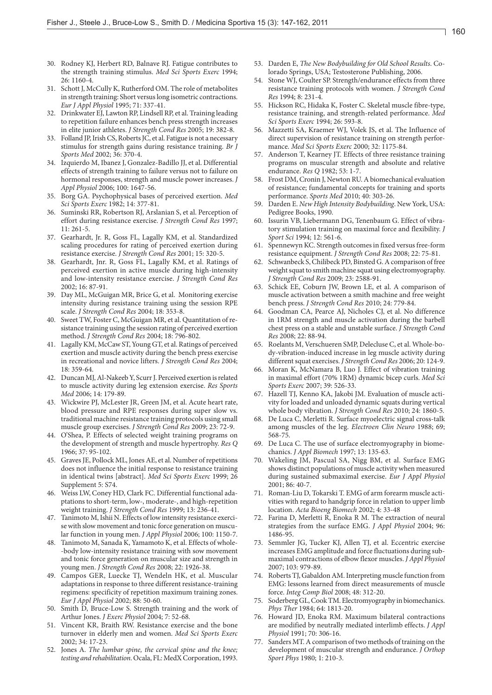$160$ 

- 30. Rodney KJ, Herbert RD, Balnave RJ. Fatigue contributes to the strength training stimulus. *Med Sci Sports Exerc* 1994; 26: 1160-4.
- 31. Schott J, McCully K, Rutherford OM. The role of metabolites in strength training: Short versus long isometric contractions. *Eur J Appl Physiol* 1995; 71: 337-41.
- 32. Drinkwater EJ, Lawton RP, Lindsell RP, et al. Training leading to repetition failure enhances bench press strength increases in elite junior athletes. *J Strength Cond Res* 2005; 19: 382-8.
- 33. Folland JP, Irish CS, Roberts JC, et al. Fatigue is not a necessary stimulus for strength gains during resistance training. *Br J Sports Med* 2002; 36: 370-4.
- 34. Izquierdo M, Ibanez J, Gonzalez-Badillo JJ, et al. Differential effects of strength training to failure versus not to failure on hormonal responses, strength and muscle power increases. *J Appl Physiol* 2006; 100: 1647-56.
- 35. Borg GA. Psychophysical bases of perceived exertion. *Med Sci Sports Exerc* 1982; 14: 377-81.
- 36. Suminski RR, Robertson RJ, Arslanian S, et al. Perception of effort during resistance exercise. *J Strength Cond Res* 1997; 11: 261-5.
- 37. Gearhardt, Jr. R, Goss FL, Lagally KM, et al. Standardized scaling procedures for rating of perceived exertion during resistance exercise. *J Strength Cond Res* 2001; 15: 320-5.
- 38. Gearhardt, Jnr. R, Goss FL, Lagally KM, et al. Ratings of perceived exertion in active muscle during high-intensity and low-intensity resistance exercise. *J Strength Cond Res* 2002; 16: 87-91.
- 39. Day ML, McGuigan MR, Brice G, et al. Monitoring exercise intensity during resistance training using the session RPE scale. *J Strength Cond Res* 2004; 18: 353-8.
- 40. Sweet TW, Foster C, McGuigan MR, et al. Quantitation ofresistance training using the session rating of perceived exertion method. *J Strength Cond Res* 2004; 18: 796-802.
- 41. LagallyKM, McCawST, Young GT, et al. Ratings of perceived exertion and muscle activity during the bench press exercise in recreational and novice lifters. *J Strength Cond Res* 2004; 18: 359-64.
- 42. Duncan MJ, Al-Nakeeb Y, Scurr J. Perceived exertion is related to muscle activity during leg extension exercise. *Res Sports Med* 2006; 14: 179-89.
- 43. Wickwire PJ, McLester JR, Green JM, et al. Acute heart rate, blood pressure and RPE responses during super slow vs. traditional machine resistance training protocols using small muscle group exercises. *J Strength Cond Res* 2009; 23: 72-9.
- 44. O'Shea, P. Effects of selected weight training programs on the development of strength and muscle hypertrophy. *Res Q* 1966; 37: 95-102.
- 45. Graves JE, Pollock ML, Jones AE, et al. Number of repetitions does not influence the initial response to resistance training in identical twins [abstract]. *Med Sci Sports Exerc* 1999; 26 Supplement 5: S74.
- 46. Weiss LW, Coney HD, Clark FC. Differential functional adaptations to short-term, low-, moderate-, and high-repetition weight training. *J Strength Cond Res* 1999; 13: 236-41.
- 47. Tanimoto M, Ishii N. Effects of low intensity resistance exercise with slow movement and tonic force generation on muscular function in young men. *J Appl Physiol* 2006; 100: 1150-7.
- 48. Tanimoto M, Sanada K, Yamamoto K, et al. Effects of whole- -body low-intensity resistance training with sow movement and tonic force generation on muscular size and strength in young men. *J Strength Cond Res* 2008; 22: 1926-38.
- 49. Campos GER, Luecke TJ, Wendeln HK, et al. Muscular adaptations in response to three different resistance-training regimens: specificity of repetition maximum training zones. *Eur J Appl Physiol* 2002; 88: 50-60.
- 50. Smith D, Bruce-Low S. Strength training and the work of Arthur Jones. *J Exerc Physiol* 2004; 7: 52-68.
- 51. Vincent KR, Braith RW. Resistance exercise and the bone turnover in elderly men and women. *Med Sci Sports Exerc*  2002; 34: 17-23.
- 52. Jones A. *The lumbar spine, the cervical spine and the knee;*  testing and rehabilitation. Ocala, FL: MedX Corporation, 1993.
- 53. Darden E, *The New Bodybuilding for Old School Results*. Colorado Springs, USA; Testosterone Publishing, 2006.
- 54. Stone WJ, Coulter SP. Strength/endurance effects from three resistance training protocols with women. *J Strength Cond Res* 1994; 8: 231-4.
- 55. Hickson RC, Hidaka K, Foster C. Skeletal muscle fibre-type, resistance training, and strength-related performance. *Med Sci Sports Exerc* 1994; 26: 593-8.
- 56. Mazzetti SA, Kraemer WJ, Volek JS, et al. The Influence of direct supervision of resistance training on strength performance. *Med Sci Sports Exerc* 2000; 32: 1175-84.
- 57. Anderson T, Kearney JT. Effects of three resistance training programs on muscular strength and absolute and relative endurance. *Res Q* 1982; 53: 1-7.
- 58. Frost DM,Cronin J, Newton RU.A biomechanical evaluation of resistance; fundamental concepts for training and sports performance. *Sports Med* 2010; 40: 303-26.
- 59. Darden E. *New High Intensity Bodybuilding*. New York, USA: Pedigree Books, 1990.
- 60. Issurin VB, Liebermann DG, Tenenbaum G. Effect of vibratory stimulation training on maximal force and flexibility. *J Sport Sci* 1994; 12: 561-6.
- 61. Spennewyn KC. Strength outcomes in fixed versus free-form resistance equipment. *J Strength Cond Res* 2008; 22: 75-81.
- 62. Schwanbeck S, Chilibeck PD, Binsted G. A comparison of free weight squat to smith machine squat using electromyography. *J Strength Cond Res* 2009; 23: 2588-91.
- 63. Schick EE, Coburn JW, Brown LE, et al. A comparison of muscle activation between a smith machine and free weight bench press. *J Strength Cond Res* 2010; 24: 779-84.
- 64. Goodman CA, Pearce AJ, Nicholes CJ, et al. No difference in 1RM strength and muscle activation during the barbell chest press on a stable and unstable surface. *J Strength Cond Res* 2008; 22: 88-94.
- 65. Roelants M, Verschueren SMP, Delecluse C, et al. Whole-body-vibration-induced increase in leg muscle activity during different squat exercises. *J Strength Cond Res* 2006; 20: 124-9.
- 66. Moran K, McNamara B, Luo J. Effect of vibration training in maximal effort (70% 1RM) dynamic bicep curls. *Med Sci Sports Exerc* 2007; 39: 526-33.
- 67. Hazell TJ, Kenno KA, Jakobi JM. Evaluation of muscle activity for loaded and unloaded dynamic squats during vertical whole body vibration. *J Strength Cond Res* 2010; 24: 1860-5.
- 68. De Luca C, Merletti R. Surface myoelectric signal cross-talk among muscles of the leg. *Electroen Clin Neuro* 1988; 69; 568-75.
- 69. De Luca C. The use of surface electromyography in biomechanics. *J Appl Biomech* 1997; 13: 135-63.
- 70. Wakeling JM, Pascual SA, Nigg BM, et al. Surface EMG shows distinct populations of muscle activity when measured during sustained submaximal exercise. *Eur J Appl Physiol* 2001; 86: 40-7.
- 71. Roman-Liu D, Tokarski T. EMG of arm forearm muscle activities with regard to handgrip force in relation to upper limb location. *Acta Bioeng Biomech* 2002; 4: 33-48
- 72. Farina D, Merletti R, Enoka R M. The extraction of neural strategies from the surface EMG. *J Appl Physiol* 2004; 96: 1486-95.
- 73. Semmler JG, Tucker KJ, Allen TJ, et al. Eccentric exercise increases EMG amplitude and force fluctuations during submaximal contractions of elbow flexor muscles. *J Appl Physiol* 2007; 103: 979-89.
- 74. Roberts TJ, Gabaldon AM. Interpreting muscle function from EMG: lessons learned from direct measurements of muscle force. *Integ Comp Biol* 2008; 48: 312-20.
- 75. Soderberg GL,CookTM. Electromyography in biomechanics. *Phys Ther* 1984; 64: 1813-20.
- 76. Howard JD, Enoka RM. Maximum bilateral contractions are modified by neutrally mediated interlimb effects. *J Appl Physiol* 1991; 70: 306-16.
- 77. Sanders MT. A comparison of two methods of training on the development of muscular strength and endurance. *J Orthop Sport Phys* 1980; 1: 210-3.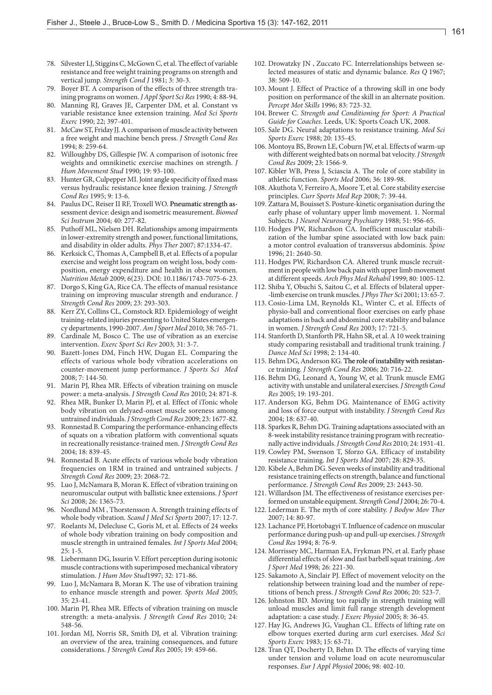- 78. Silvester LJ, StigginsC, McGownC, et al. The effect of variable resistance and free weight training programs on strength and vertical jump. *Strength Cond J* 1981; 3: 30-3.
- 79. Boyer BT. A comparison of the effects of three strength training programs on women. *J Appl Sport Sci Res* 1990; 4: 88-94.
- 80. Manning RJ, Graves JE, Carpenter DM, et al. Constant vs variable resistance knee extension training. *Med Sci Sports Exerc* 1990; 22; 397-401.
- 81. McCawST, Friday JJ.Acomparison of muscle activity between a free weight and machine bench press. *J Strength Cond Res* 1994; 8: 259-64.
- 82. Willoughby DS, Gillespie JW. A comparison of isotonic free weights and omnikinetic exercise machines on strength. *J Hum Movement Stud* 1990; 19: 93-100.
- 83. Hunter GR, Culpepper MI. Joint angle specificity of fixed mass versus hydraulic resistance knee flexion training. *J Strength Cond Res* 1995; 9: 13-6.
- 84. Paulus DC, Reiser II RF, Troxell WO. Pneumatic strength assessment device: design and isometric measurement. *Biomed Sci Instrum* 2004; 40: 277-82.
- 85. Puthoff ML, Nielsen DH. Relationships among impairments in lower-extremity strength and power, functional limitations, and disability in older adults. *Phys Ther* 2007; 87:1334-47.
- 86. Kerksick C, Thomas A, Campbell B, et al. Effects of a popular exercise and weight loss program on weight loss, body composition, energy expenditure and health in obese women. *Nutrition Metab* 2009; 6(23). DOI: 10.1186/1743-7075-6-23.
- 87. Dorgo S, King GA, Rice CA. The effects of manual resistance training on improving muscular strength and endurance. *J Strength Cond Res* 2009; 23: 293-303.
- 88. Kerr ZY, Collins CL, Comstock RD. Epidemiology of weight training-related injuries presenting to United States emergency departments, 1990-2007. *Am J Sport Med* 2010; 38: 765-71.
- 89. Cardinale M, Bosco C. The use of vibration as an exercise intervention. *Exerc Sport Sci Rev* 2003; 31: 3-7.
- 90. Bazett-Jones DM, Finch HW, Dugan EL. Comparing the effects of various whole body vibration accelerations on counter-movement jump performance. *J Sports Sci Med*  2008; 7: 144-50.
- 91. Marin PJ, Rhea MR. Effects of vibration training on muscle power: a meta-analysis. *J Strength Cond Res* 2010; 24: 871-8.
- 92. Rhea MR, Bunker D, Marin PJ, et al. Effect of iTonic whole body vibration on delyaed-onset muscle soreness among untrained individuals. *J Strength Cond Res* 2009; 23: 1677-82.
- 93. Ronnestad B.Comparing the performance-enhancing effects of squats on a vibration platform with conventional squats in recreationally resistance-trained men. *J Strength Cond Res* 2004; 18: 839-45.
- 94. Ronnestad B. Acute effects of various whole body vibration frequencies on 1RM in trained and untrained subjects. *J Strength Cond Res* 2009; 23: 2068-72.
- 95. Luo J, McNamara B, Moran K. Effect of vibration training on neuromuscular output with ballistic knee extensions. *J Sport Sci* 2008; 26: 1365-73.
- 96. Nordlund MM , Thorstensson A. Strength training effects of whole body vibration. *Scand J Med Sci Sports* 2007; 17: 12-7.
- 97. Roelants M, Delecluse C, Goris M, et al. Effects of 24 weeks of whole body vibration training on body composition and muscle strength in untrained females. *Int J Sports Med* 2004; 25: 1-5.
- 98. Liebermann DG, Issurin V. Effort perception during isotonic muscle contractions with superimposed mechanical vibratory stimulation. *J Hum Mov Stud*1997; 32: 171-86.
- 99. Luo J, McNamara B, Moran K. The use of vibration training to enhance muscle strength and power. *Sports Med* 2005; 35: 23-41.
- 100. Marin PJ, Rhea MR. Effects of vibration training on muscle strength: a meta-analysis. *J Strength Cond Res* 2010; 24: 548-56.
- 101. Jordan MJ, Norris SR, Smith DJ, et al. Vibration training: an overview of the area, training consequences, and future considerations. *J Strength Cond Res* 2005; 19: 459-66.
- 102. Drowatzky JN , Zuccato FC. Interrelationships between selected measures of static and dynamic balance. *Res Q* 1967; 38: 509-10.
- 103. Mount J. Effect of Practice of a throwing skill in one body position on performance of the skill in an alternate position. *Percept Mot Skills* 1996; 83: 723-32.
- 104. Brewer C. *Strength and Conditioning for Sport: A Practical Guide for Coaches*. Leeds, UK: Sports Coach UK, 2008.
- 105. Sale DG. Neural adaptations to resistance training. *Med Sci Sports Exerc* 1988; 20: 135-45.
- 106. Montoya BS, Brown LE, Coburn JW, et al. Effects of warm-up with different weighted bats on normal bat velocity. *J Strength Cond Res* 2009; 23: 1566-9.
- 107. Kibler WB, Press J, Sciascia A. The role of core stability in athletic function. *Sports Med* 2006; 36: 189-98.
- 108. Akuthota V, Ferreiro A, Moore T, et al. Core stability exercise principles. *Curr Sports Med Rep* 2008; 7: 39-44.
- 109. Zattara M, Bouisset S. Posture-kinetic organisation during the early phase of voluntary upper limb movement. 1. Normal Subjects. *J Neurol Neurosurg Psychiatry* 1988; 51: 956-65.
- 110. Hodges PW, Richardson CA. Inefficient muscular stabilization of the lumbar spine associated with low back pain: a motor control evaluation of transversus abdominis. *Spine*  1996; 21: 2640-50.
- 111. Hodges PW, Richardson CA. Altered trunk muscle recruitment in people with low back pain with upper limb movement at different speeds. *Arch Phys Med Rehabil* 1999; 80: 1005-12.
- 112. Shiba Y, Obuchi S, Saitou C, et al. Effects of bilateral upper- -limb exercise on trunk muscles. *J Phys Ther Sci* 2001; 13: 65-7.
- 113. Cosio-Lima LM, Reynolds KL, Winter C, et al. Effects of physio-ball and conventional floor exercises on early phase adaptations in back and abdominal core stability and balance in women. *J Strength Cond Res* 2003; 17: 721-5.
- 114. Stanforth D, Stanforth PR, Hahn SR, et al. A 10 week training study comparing resistaball and traditional trunk training. *J Dance Med Sci* 1998; 2: 134-40.
- 115. Behm DG, Anderson KG. The role of instability with resistance training. *J Strength Cond Res* 2006; 20: 716-22.
- 116. Behm DG, Leonard A, Young W, et al. Trunk muscle EMG activity with unstable and unilateral exercises. *J Strength Cond Res* 2005; 19: 193-201.
- 117. Anderson KG, Behm DG. Maintenance of EMG activity and loss of force output with instability. *J Strength Cond Res* 2004; 18: 637-40.
- 118. Sparkes R, Behm DG. Training adaptations associated with an 8-week instability resistance training program with recreationally active individuals. *J Strength Cond Res* 2010; 24: 1931-41.
- 119. Cowley PM, Swenson T, Sforzo GA. Efficacy of instability resistance training. *Int J Sports Med* 2007; 28: 829-35.
- 120. KibeleA, Behm DG. Sevenweeks of instability and traditional resistance training effects on strength, balance and functional performance. *J Strength Cond Res* 2009; 23: 2443-50.
- 121. Willardson JM. The effectiveness of resistance exercises performed on unstable equipment. *Strength Cond J* 2004; 26: 70-4.
- 122. Lederman E. The myth of core stability. *J Bodyw Mov Ther* 2007; 14: 80-97.
- 123. Lachance PF, Hortobagyi T.Influence of cadence on muscular performance during push-up and pull-up exercises. *J Strength Cond Res* 1994; 8: 76-9.
- 124. Morrissey MC, Harman EA, Frykman PN, et al. Early phase differential effects of slow and fast barbell squat training. *Am J Sport Med* 1998; 26: 221-30.
- 125. Sakamoto A, Sinclair PJ. Effect of movement velocity on the relationship between training load and the number of repetitions of bench press. *J Strength Cond Res* 2006; 20: 523-7.
- 126. Johnston BD. Moving too rapidly in strength training will unload muscles and limit full range strength development adaptation: a case study. *J Exerc Physiol* 2005; 8: 36-45.
- 127. Hay JG, Andrews JG, Vaughan CL. Effects of lifting rate on elbow torques exerted during arm curl exercises. *Med Sci Sports Exerc* 1983; 15: 63-71.
- 128. Tran QT, Docherty D, Behm D. The effects of varying time under tension and volume load on acute neuromuscular responses. *Eur J Appl Physiol* 2006; 98: 402-10.